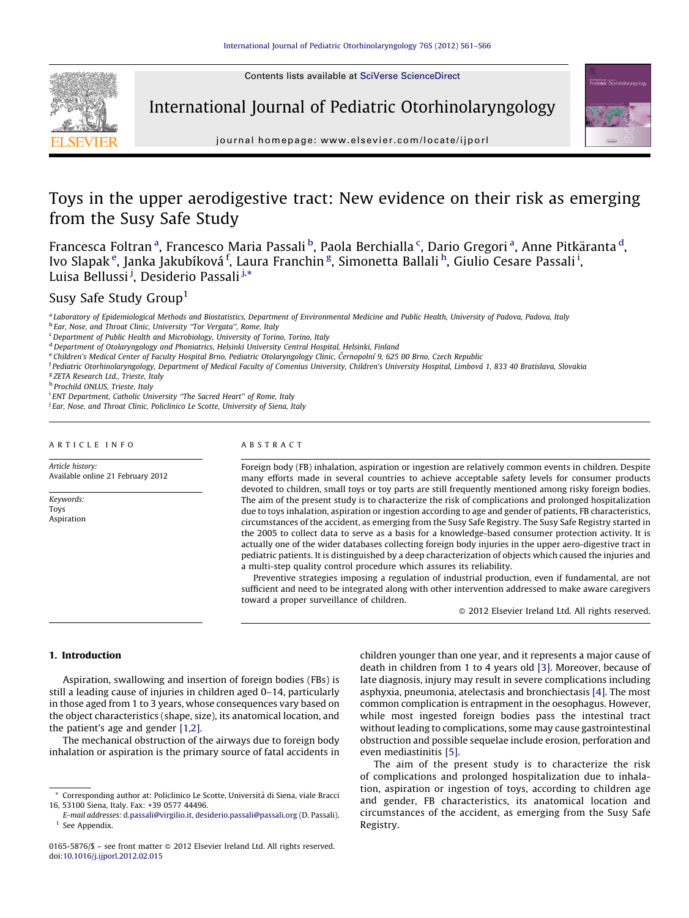Contents lists available at SciVerse [ScienceDirect](http://www.sciencedirect.com/science/journal/01655876)



International Journal of Pediatric Otorhinolaryngology



journal homepage: www.elsevier.com/locate/ijporl

# Toys in the upper aerodigestive tract: New evidence on their risk as emerging from the Susy Safe Study

Francesca Foltran <sup>a</sup>, Francesco Maria Passali <sup>b</sup>, Paola Berchialla <sup>c</sup>, Dario Gregori <sup>a</sup>, Anne Pitkäranta <sup>d</sup>, Ivo Slapak <sup>e</sup>, Janka Jakubíková <sup>f</sup>, Laura Franchin <sup>g</sup>, Simonetta Ballali <sup>h</sup>, Giulio Cesare Passali <sup>i</sup>, Luisa Bellussi <sup>j</sup>, Desiderio Passali <sup>j,</sup>\*

## Susy Safe Study Group<sup>1</sup>

a Laboratory of Epidemiological Methods and Biostatistics, Department of Environmental Medicine and Public Health, University of Padova, Padova, Italy

<sup>b</sup> Ear, Nose, and Throat Clinic, University "Tor Vergata", Rome, Italy

 $c$  Department of Public Health and Microbiology, University of Torino, Torino, Italy

<sup>d</sup> Department of Otolaryngology and Phoniatrics, Helsinki University Central Hospital, Helsinki, Finland

e Children's Medical Center of Faculty Hospital Brno, Pediatric Otolaryngology Clinic, Černopolní 9, 625 00 Brno, Czech Republic

<sup>f</sup> Pediatric Otorhinolaryngology, Department of Medical Faculty of Comenius University, Children's University Hospital, Limbová 1, 833 40 Bratislava, Slovakia <sup>g</sup> ZETA Research Ltd., Trieste, Italy

h Prochild ONLUS, Trieste, Italy

<sup>i</sup> ENT Department, Catholic University "The Sacred Heart" of Rome, Italy

<sup>j</sup> Ear, Nose, and Throat Clinic, Policlinico Le Scotte, University of Siena, Italy

#### A R T I C L E I N F O

Article history: Available online 21 February 2012

Keywords: Toys Aspiration

## A B S T R A C T

Foreign body (FB) inhalation, aspiration or ingestion are relatively common events in children. Despite many efforts made in several countries to achieve acceptable safety levels for consumer products devoted to children, small toys or toy parts are still frequently mentioned among risky foreign bodies. The aim of the present study is to characterize the risk of complications and prolonged hospitalization due to toys inhalation, aspiration or ingestion according to age and gender of patients, FB characteristics, circumstances of the accident, as emerging from the Susy Safe Registry. The Susy Safe Registry started in the 2005 to collect data to serve as a basis for a knowledge-based consumer protection activity. It is actually one of the wider databases collecting foreign body injuries in the upper aero-digestive tract in pediatric patients. It is distinguished by a deep characterization of objects which caused the injuries and a multi-step quality control procedure which assures its reliability.

Preventive strategies imposing a regulation of industrial production, even if fundamental, are not sufficient and need to be integrated along with other intervention addressed to make aware caregivers toward a proper surveillance of children.

- 2012 Elsevier Ireland Ltd. All rights reserved.

## 1. Introduction

Aspiration, swallowing and insertion of foreign bodies (FBs) is still a leading cause of injuries in children aged 0–14, particularly in those aged from 1 to 3 years, whose consequences vary based on the object characteristics (shape, size), its anatomical location, and the patient's age and gender [\[1,2\].](#page-4-0)

The mechanical obstruction of the airways due to foreign body inhalation or aspiration is the primary source of fatal accidents in children younger than one year, and it represents a major cause of death in children from 1 to 4 years old [\[3\].](#page-4-0) Moreover, because of late diagnosis, injury may result in severe complications including asphyxia, pneumonia, atelectasis and bronchiectasis [\[4\]](#page-4-0). The most common complication is entrapment in the oesophagus. However, while most ingested foreign bodies pass the intestinal tract without leading to complications, some may cause gastrointestinal obstruction and possible sequelae include erosion, perforation and even mediastinitis [\[5\].](#page-4-0)

The aim of the present study is to characterize the risk of complications and prolonged hospitalization due to inhalation, aspiration or ingestion of toys, according to children age and gender, FB characteristics, its anatomical location and circumstances of the accident, as emerging from the Susy Safe Registry.

Corresponding author at: Policlinico Le Scotte, Università di Siena, viale Bracci 16, 53100 Siena, Italy. Fax: +39 0577 44496.

E-mail addresses: [d.passali@virgilio.it,](mailto:d.passali@virgilio.it) [desiderio.passali@passali.org](mailto:desiderio.passali@passali.org) (D. Passali). See Appendix.

<sup>0165-5876/\$ –</sup> see front matter  $\odot$  2012 Elsevier Ireland Ltd. All rights reserved. doi:[10.1016/j.ijporl.2012.02.015](http://dx.doi.org/10.1016/j.ijporl.2012.02.015)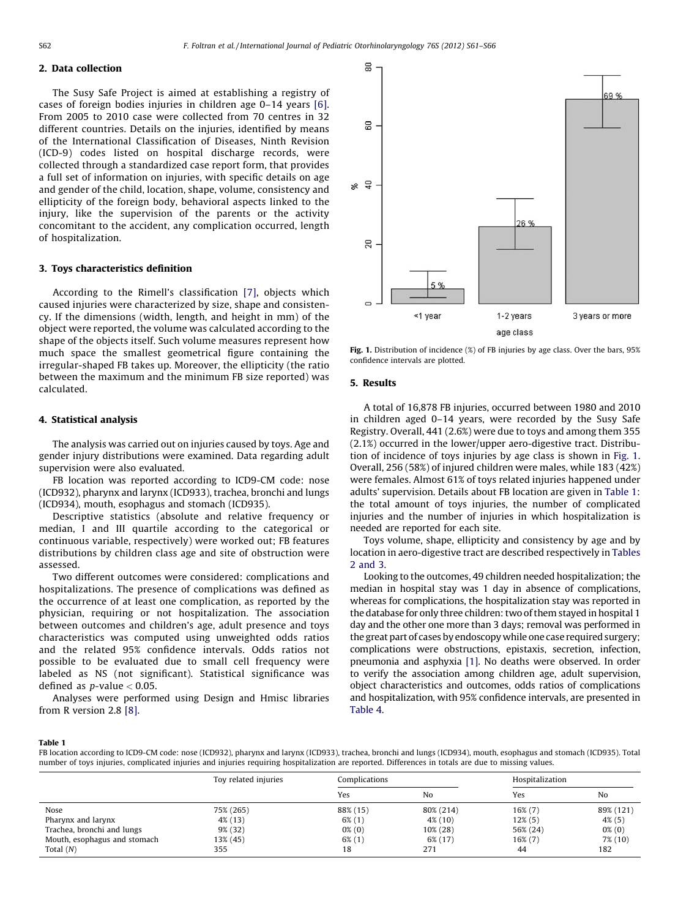## 2. Data collection

The Susy Safe Project is aimed at establishing a registry of cases of foreign bodies injuries in children age 0–14 years [\[6\].](#page-4-0) From 2005 to 2010 case were collected from 70 centres in 32 different countries. Details on the injuries, identified by means of the International Classification of Diseases, Ninth Revision (ICD-9) codes listed on hospital discharge records, were collected through a standardized case report form, that provides a full set of information on injuries, with specific details on age and gender of the child, location, shape, volume, consistency and ellipticity of the foreign body, behavioral aspects linked to the injury, like the supervision of the parents or the activity concomitant to the accident, any complication occurred, length of hospitalization.

#### 3. Toys characteristics definition

According to the Rimell's classification [\[7\],](#page-4-0) objects which caused injuries were characterized by size, shape and consistency. If the dimensions (width, length, and height in mm) of the object were reported, the volume was calculated according to the shape of the objects itself. Such volume measures represent how much space the smallest geometrical figure containing the irregular-shaped FB takes up. Moreover, the ellipticity (the ratio between the maximum and the minimum FB size reported) was calculated.

## 4. Statistical analysis

The analysis was carried out on injuries caused by toys. Age and gender injury distributions were examined. Data regarding adult supervision were also evaluated.

FB location was reported according to ICD9-CM code: nose (ICD932), pharynx and larynx (ICD933), trachea, bronchi and lungs (ICD934), mouth, esophagus and stomach (ICD935).

Descriptive statistics (absolute and relative frequency or median, I and III quartile according to the categorical or continuous variable, respectively) were worked out; FB features distributions by children class age and site of obstruction were assessed.

Two different outcomes were considered: complications and hospitalizations. The presence of complications was defined as the occurrence of at least one complication, as reported by the physician, requiring or not hospitalization. The association between outcomes and children's age, adult presence and toys characteristics was computed using unweighted odds ratios and the related 95% confidence intervals. Odds ratios not possible to be evaluated due to small cell frequency were labeled as NS (not significant). Statistical significance was defined as  $p$ -value  $< 0.05$ .

Analyses were performed using Design and Hmisc libraries from R version 2.8 [\[8\].](#page-4-0)



Fig. 1. Distribution of incidence (%) of FB injuries by age class. Over the bars, 95% confidence intervals are plotted.

#### 5. Results

A total of 16,878 FB injuries, occurred between 1980 and 2010 in children aged 0–14 years, were recorded by the Susy Safe Registry. Overall, 441 (2.6%) were due to toys and among them 355 (2.1%) occurred in the lower/upper aero-digestive tract. Distribution of incidence of toys injuries by age class is shown in Fig. 1. Overall, 256 (58%) of injured children were males, while 183 (42%) were females. Almost 61% of toys related injuries happened under adults' supervision. Details about FB location are given in Table 1: the total amount of toys injuries, the number of complicated injuries and the number of injuries in which hospitalization is needed are reported for each site.

Toys volume, shape, ellipticity and consistency by age and by location in aero-digestive tract are described respectively in [Tables](#page-2-0) 2 [and](#page-2-0) 3.

Looking to the outcomes, 49 children needed hospitalization; the median in hospital stay was 1 day in absence of complications, whereas for complications, the hospitalization stay was reported in the database for only three children: two of them stayed in hospital 1 day and the other one more than 3 days; removal was performed in the great part of cases by endoscopy while one case required surgery; complications were obstructions, epistaxis, secretion, infection, pneumonia and asphyxia [\[1\]](#page-4-0). No deaths were observed. In order to verify the association among children age, adult supervision, object characteristics and outcomes, odds ratios of complications and hospitalization, with 95% confidence intervals, are presented in [Table](#page-2-0) 4.

#### Table 1

FB location according to ICD9-CM code: nose (ICD932), pharynx and larynx (ICD933), trachea, bronchi and lungs (ICD934), mouth, esophagus and stomach (ICD935). Total number of toys injuries, complicated injuries and injuries requiring hospitalization are reported. Differences in totals are due to missing values.

|                              | Toy related injuries | Complications |           | Hospitalization |           |
|------------------------------|----------------------|---------------|-----------|-----------------|-----------|
|                              |                      | Yes           | No        | Yes             | No        |
| Nose                         | 75% (265)            | 88% (15)      | 80% (214) | $16\%$ (7)      | 89% (121) |
| Pharynx and larynx           | 4% (13)              | $6\%$ (1)     | 4% (10)   | $12\%$ (5)      | $4\%$ (5) |
| Trachea, bronchi and lungs   | $9\%$ (32)           | $0\%$ (0)     | 10% (28)  | 56% (24)        | $0\%$ (0) |
| Mouth, esophagus and stomach | 13% (45)             | $6\%$ (1)     | 6% (17)   | $16\%$ (7)      | 7% (10)   |
| Total $(N)$                  | 355                  | 18            | 271       | 44              | 182       |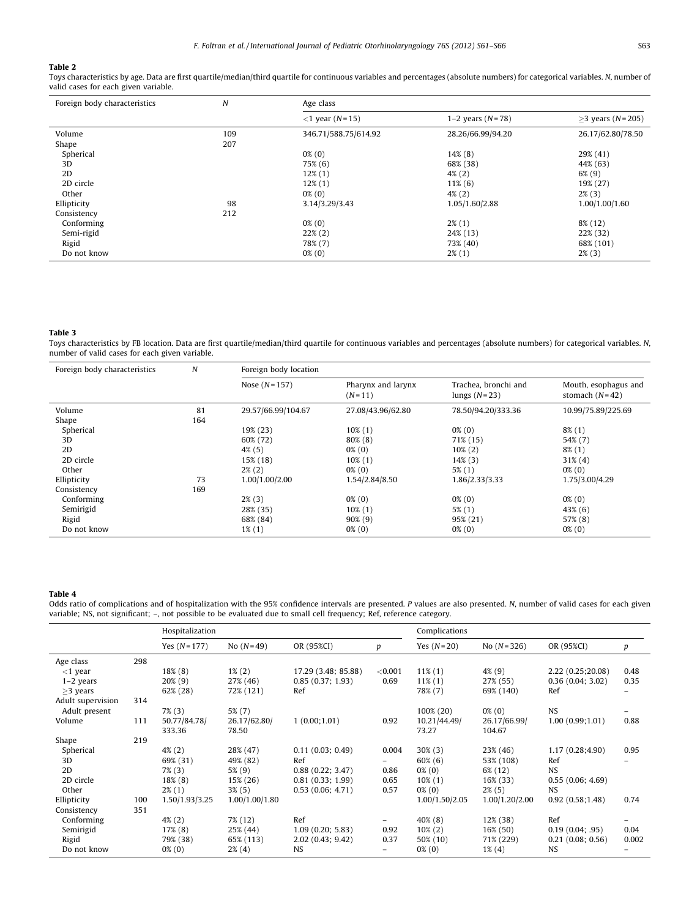## <span id="page-2-0"></span>Table 2

Toys characteristics by age. Data are first quartile/median/third quartile for continuous variables and percentages (absolute numbers) for categorical variables. N, number of valid cases for each given variable.

| Foreign body characteristics | N   | Age class            |                    |                        |
|------------------------------|-----|----------------------|--------------------|------------------------|
|                              |     | $<$ 1 year (N = 15)  | 1–2 years $(N=78)$ | $\geq$ 3 years (N=205) |
| Volume                       | 109 | 346.71/588.75/614.92 | 28.26/66.99/94.20  | 26.17/62.80/78.50      |
| Shape                        | 207 |                      |                    |                        |
| Spherical                    |     | $0\%$ (0)            | $14\%$ (8)         | 29% (41)               |
| 3D                           |     | 75% (6)              | 68% (38)           | 44% (63)               |
| 2D                           |     | $12\%$ (1)           | $4\%$ (2)          | $6\%$ (9)              |
| 2D circle                    |     | $12\%$ (1)           | $11\%$ (6)         | 19% (27)               |
| Other                        |     | $0\%$ (0)            | $4\%$ (2)          | $2\%$ (3)              |
| Ellipticity                  | 98  | 3.14/3.29/3.43       | 1.05/1.60/2.88     | 1.00/1.00/1.60         |
| Consistency                  | 212 |                      |                    |                        |
| Conforming                   |     | $0\%$ (0)            | $2\%$ (1)          | $8\%$ (12)             |
| Semi-rigid                   |     | $22\%$ (2)           | 24% (13)           | 22% (32)               |
| Rigid                        |     | 78% (7)              | 73% (40)           | 68% (101)              |
| Do not know                  |     | $0\%$ (0)            | $2\%$ (1)          | $2\%$ (3)              |

#### Table 3

Toys characteristics by FB location. Data are first quartile/median/third quartile for continuous variables and percentages (absolute numbers) for categorical variables. N, number of valid cases for each given variable.

| Foreign body characteristics | Ν   | Foreign body location |                                |                                        |                                          |  |  |
|------------------------------|-----|-----------------------|--------------------------------|----------------------------------------|------------------------------------------|--|--|
|                              |     | Nose $(N = 157)$      | Pharynx and larynx<br>$(N=11)$ | Trachea, bronchi and<br>lungs $(N=23)$ | Mouth, esophagus and<br>stomach $(N=42)$ |  |  |
| Volume                       | 81  | 29.57/66.99/104.67    | 27.08/43.96/62.80              | 78.50/94.20/333.36                     | 10.99/75.89/225.69                       |  |  |
| Shape                        | 164 |                       |                                |                                        |                                          |  |  |
| Spherical                    |     | 19% (23)              | $10\%$ (1)                     | $0\%$ (0)                              | $8\%$ (1)                                |  |  |
| 3D                           |     | 60% (72)              | $80\%$ (8)                     | 71% (15)                               | 54% (7)                                  |  |  |
| 2D                           |     | $4\%$ (5)             | $0\%$ (0)                      | $10\%(2)$                              | $8\%$ (1)                                |  |  |
| 2D circle                    |     | 15% (18)              | $10\%$ (1)                     | $14\%$ (3)                             | $31\%$ (4)                               |  |  |
| Other                        |     | $2\%$ (2)             | $0\%$ (0)                      | $5\%$ (1)                              | $0\%$ (0)                                |  |  |
| Ellipticity                  | 73  | 1.00/1.00/2.00        | 1.54/2.84/8.50                 | 1.86/2.33/3.33                         | 1.75/3.00/4.29                           |  |  |
| Consistency                  | 169 |                       |                                |                                        |                                          |  |  |
| Conforming                   |     | $2\%$ (3)             | $0\%$ (0)                      | $0\%$ (0)                              | $0\%$ (0)                                |  |  |
| Semirigid                    |     | 28% (35)              | $10\%$ (1)                     | $5\%$ $(1)$                            | $43\%$ (6)                               |  |  |
| Rigid                        |     | 68% (84)              | $90\%$ (9)                     | 95% (21)                               | 57% (8)                                  |  |  |
| Do not know                  |     | $1\%$ $(1)$           | $0\%$ $(0)$                    | $0\%$ (0)                              | $0\%$ (0)                                |  |  |

## Table 4

Odds ratio of complications and of hospitalization with the 95% confidence intervals are presented. P values are also presented. N, number of valid cases for each given variable; NS, not significant; –, not possible to be evaluated due to small cell frequency; Ref, reference category.

|                   |     | Hospitalization |                |                     | Complications            |                |                |                   |       |
|-------------------|-----|-----------------|----------------|---------------------|--------------------------|----------------|----------------|-------------------|-------|
|                   |     | Yes $(N = 177)$ | No $(N=49)$    | OR (95%CI)          | p                        | Yes $(N=20)$   | No $(N=326)$   | OR (95%CI)        | p     |
| Age class         | 298 |                 |                |                     |                          |                |                |                   |       |
| $<$ 1 year        |     | $18\%$ (8)      | $1\% (2)$      | 17.29 (3.48; 85.88) | < 0.001                  | $11\%$ (1)     | $4\%$ (9)      | 2.22 (0.25;20.08) | 0.48  |
| $1-2$ years       |     | $20\%$ (9)      | 27% (46)       | 0.85(0.37; 1.93)    | 0.69                     | $11\%$ (1)     | 27% (55)       | 0.36(0.04; 3.02)  | 0.35  |
| $\geq$ 3 years    |     | 62% (28)        | 72% (121)      | Ref                 |                          | 78% (7)        | 69% (140)      | Ref               | -     |
| Adult supervision | 314 |                 |                |                     |                          |                |                |                   |       |
| Adult present     |     | $7\%$ (3)       | $5\%$ (7)      |                     |                          | 100% (20)      | $0\%$ (0)      | <b>NS</b>         |       |
| Volume            | 111 | 50.77/84.78/    | 26.17/62.80/   | 1(0.00;1.01)        | 0.92                     | 10.21/44.49/   | 26.17/66.99/   | 1.00(0.99;1.01)   | 0.88  |
|                   |     | 333.36          | 78.50          |                     |                          | 73.27          | 104.67         |                   |       |
| Shape             | 219 |                 |                |                     |                          |                |                |                   |       |
| Spherical         |     | $4\%$ (2)       | 28% (47)       | 0.11(0.03; 0.49)    | 0.004                    | $30\%$ (3)     | 23% (46)       | 1.17(0.28; 4.90)  | 0.95  |
| 3D                |     | 69% (31)        | 49% (82)       | Ref                 | $\overline{\phantom{a}}$ | $60\%$ (6)     | 53% (108)      | Ref               |       |
| 2D                |     | $7\%$ (3)       | 5% (9)         | 0.88(0.22; 3.47)    | 0.86                     | $0\%$ (0)      | 6% (12)        | <b>NS</b>         |       |
| 2D circle         |     | $18\%$ (8)      | 15% (26)       | 0.81(0.33; 1.99)    | 0.65                     | $10\%$ (1)     | 16% (33)       | 0.55(0.06; 4.69)  |       |
| Other             |     | $2\%$ (1)       | $3\%$ (5)      | 0.53(0.06; 4.71)    | 0.57                     | $0\%$ (0)      | $2\%$ (5)      | <b>NS</b>         |       |
| Ellipticity       | 100 | 1.50/1.93/3.25  | 1.00/1.00/1.80 |                     |                          | 1.00/1.50/2.05 | 1.00/1.20/2.00 | 0.92(0.58;1.48)   | 0.74  |
| Consistency       | 351 |                 |                |                     |                          |                |                |                   |       |
| Conforming        |     | $4\%$ (2)       | 7% (12)        | Ref                 | $\overline{\phantom{a}}$ | $40\%$ (8)     | 12% (38)       | Ref               |       |
| Semirigid         |     | 17% (8)         | 25% (44)       | 1.09(0.20; 5.83)    | 0.92                     | $10\% (2)$     | 16% (50)       | 0.19(0.04; .95)   | 0.04  |
| Rigid             |     | 79% (38)        | 65% (113)      | 2.02(0.43; 9.42)    | 0.37                     | 50% (10)       | 71% (229)      | 0.21(0.08; 0.56)  | 0.002 |
| Do not know       |     | $0\%$ (0)       | $2\%$ (4)      | <b>NS</b>           | $\equiv$                 | $0\%$ (0)      | $1\%$ (4)      | <b>NS</b>         |       |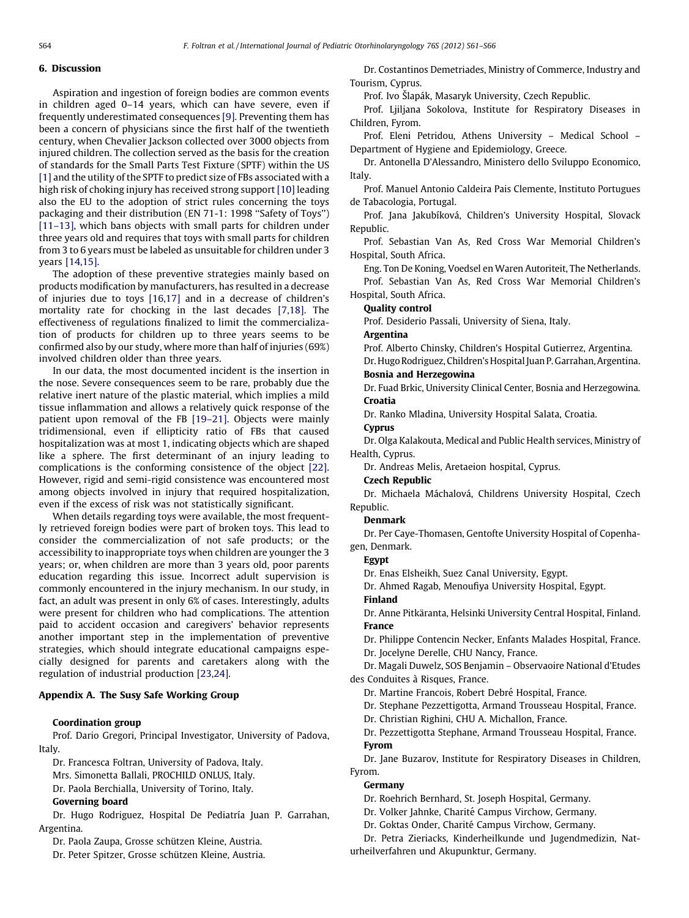## 6. Discussion

Aspiration and ingestion of foreign bodies are common events in children aged 0–14 years, which can have severe, even if frequently underestimated consequences [\[9\]](#page-4-0). Preventing them has been a concern of physicians since the first half of the twentieth century, when Chevalier Jackson collected over 3000 objects from injured children. The collection served as the basis for the creation of standards for the Small Parts Test Fixture (SPTF) within the US [\[1\]](#page-4-0) and the utility of the SPTF to predict size of FBs associated with a high risk of choking injury has received strong support [\[10\]](#page-4-0) leading also the EU to the adoption of strict rules concerning the toys packaging and their distribution (EN 71-1: 1998 ''Safety of Toys'') [\[11–13\],](#page-4-0) which bans objects with small parts for children under three years old and requires that toys with small parts for children from 3 to 6 years must be labeled as unsuitable for children under 3 years [\[14,15\].](#page-4-0)

The adoption of these preventive strategies mainly based on products modification by manufacturers, has resulted in a decrease of injuries due to toys [\[16,17\]](#page-4-0) and in a decrease of children's mortality rate for chocking in the last decades [\[7,18\].](#page-4-0) The effectiveness of regulations finalized to limit the commercialization of products for children up to three years seems to be confirmed also by our study, where more than half of injuries (69%) involved children older than three years.

In our data, the most documented incident is the insertion in the nose. Severe consequences seem to be rare, probably due the relative inert nature of the plastic material, which implies a mild tissue inflammation and allows a relatively quick response of the patient upon removal of the FB [\[19–21\]](#page-5-0). Objects were mainly tridimensional, even if ellipticity ratio of FBs that caused hospitalization was at most 1, indicating objects which are shaped like a sphere. The first determinant of an injury leading to complications is the conforming consistence of the object [\[22\].](#page-5-0) However, rigid and semi-rigid consistence was encountered most among objects involved in injury that required hospitalization, even if the excess of risk was not statistically significant.

When details regarding toys were available, the most frequently retrieved foreign bodies were part of broken toys. This lead to consider the commercialization of not safe products; or the accessibility to inappropriate toys when children are younger the 3 years; or, when children are more than 3 years old, poor parents education regarding this issue. Incorrect adult supervision is commonly encountered in the injury mechanism. In our study, in fact, an adult was present in only 6% of cases. Interestingly, adults were present for children who had complications. The attention paid to accident occasion and caregivers' behavior represents another important step in the implementation of preventive strategies, which should integrate educational campaigns especially designed for parents and caretakers along with the regulation of industrial production [\[23,24\].](#page-5-0)

## Appendix A. The Susy Safe Working Group

## Coordination group

Prof. Dario Gregori, Principal Investigator, University of Padova, Italy.

Dr. Francesca Foltran, University of Padova, Italy.

Mrs. Simonetta Ballali, PROCHILD ONLUS, Italy.

Dr. Paola Berchialla, University of Torino, Italy.

## Governing board

Dr. Hugo Rodriguez, Hospital De Pediatría Juan P. Garrahan, Argentina.

Dr. Paola Zaupa, Grosse schützen Kleine, Austria.

Dr. Peter Spitzer, Grosse schützen Kleine, Austria.

Dr. Costantinos Demetriades, Ministry of Commerce, Industry and Tourism, Cyprus.

Prof. Ivo Šlapák, Masaryk University, Czech Republic.

Prof. Ljiljana Sokolova, Institute for Respiratory Diseases in Children, Fyrom.

Prof. Eleni Petridou, Athens University – Medical School – Department of Hygiene and Epidemiology, Greece.

Dr. Antonella D'Alessandro, Ministero dello Sviluppo Economico, Italy.

Prof. Manuel Antonio Caldeira Pais Clemente, Instituto Portugues de Tabacologia, Portugal.

Prof. Jana Jakubíková, Children's University Hospital, Slovack Republic.

Prof. Sebastian Van As, Red Cross War Memorial Children's Hospital, South Africa.

Eng. Ton De Koning, Voedsel en Waren Autoriteit, The Netherlands. Prof. Sebastian Van As, Red Cross War Memorial Children's Hospital, South Africa.

#### Quality control

Prof. Desiderio Passali, University of Siena, Italy.

#### Argentina

Prof. Alberto Chinsky, Children's Hospital Gutierrez, Argentina.

Dr. Hugo Rodriguez, Children's Hospital Juan P. Garrahan, Argentina. Bosnia and Herzegowina

Dr. Fuad Brkic, University Clinical Center, Bosnia and Herzegowina. Croatia

Dr. Ranko Mladina, University Hospital Salata, Croatia.

Cyprus

Dr. Olga Kalakouta, Medical and Public Health services, Ministry of Health, Cyprus.

Dr. Andreas Melis, Aretaeion hospital, Cyprus.

## Czech Republic

Dr. Michaela Máchalová, Childrens University Hospital, Czech Republic.

#### Denmark

Dr. Per Caye-Thomasen, Gentofte University Hospital of Copenhagen, Denmark.

#### Egypt

Dr. Enas Elsheikh, Suez Canal University, Egypt.

Dr. Ahmed Ragab, Menoufiya University Hospital, Egypt.

## Finland

Dr. Anne Pitkäranta, Helsinki University Central Hospital, Finland. France

Dr. Philippe Contencin Necker, Enfants Malades Hospital, France.

Dr. Jocelyne Derelle, CHU Nancy, France.

Dr. Magali Duwelz, SOS Benjamin – Observaoire National d'Etudes des Conduites a` Risques, France.

Dr. Martine Francois, Robert Debré Hospital, France.

Dr. Stephane Pezzettigotta, Armand Trousseau Hospital, France.

Dr. Christian Righini, CHU A. Michallon, France.

Dr. Pezzettigotta Stephane, Armand Trousseau Hospital, France. Fyrom

Dr. Jane Buzarov, Institute for Respiratory Diseases in Children, Fyrom.

#### Germany

Dr. Roehrich Bernhard, St. Joseph Hospital, Germany.

Dr. Volker Jahnke, Charité Campus Virchow, Germany.

Dr. Goktas Onder, Charité Campus Virchow, Germany.

Dr. Petra Zieriacks, Kinderheilkunde und Jugendmedizin, Naturheilverfahren und Akupunktur, Germany.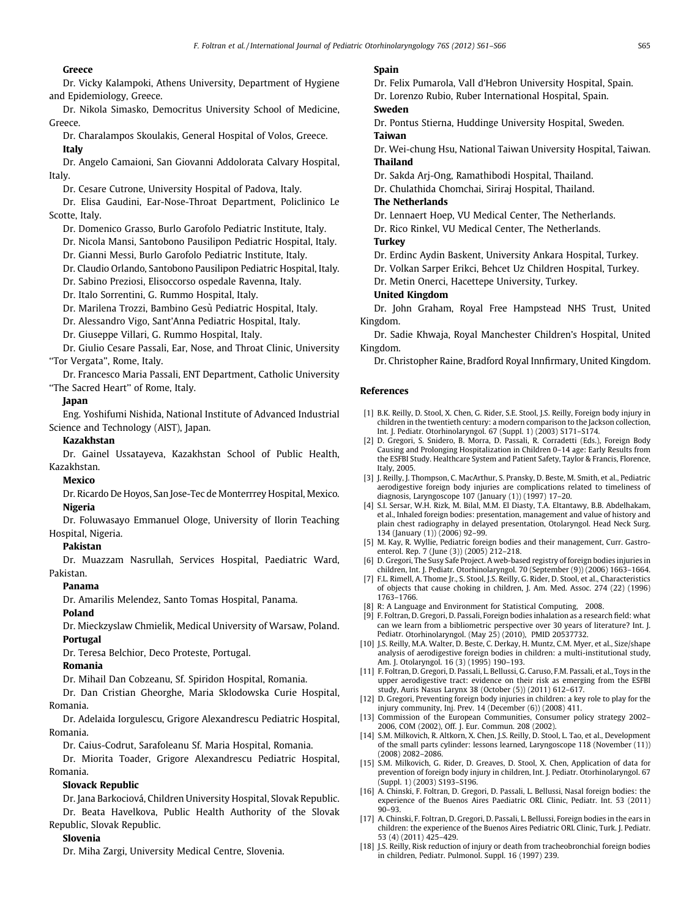## <span id="page-4-0"></span>Greece

Dr. Vicky Kalampoki, Athens University, Department of Hygiene and Epidemiology, Greece.

Dr. Nikola Simasko, Democritus University School of Medicine, Greece.

Dr. Charalampos Skoulakis, General Hospital of Volos, Greece. Italy

Dr. Angelo Camaioni, San Giovanni Addolorata Calvary Hospital, Italy.

Dr. Cesare Cutrone, University Hospital of Padova, Italy.

Dr. Elisa Gaudini, Ear-Nose-Throat Department, Policlinico Le Scotte, Italy.

Dr. Domenico Grasso, Burlo Garofolo Pediatric Institute, Italy.

Dr. Nicola Mansi, Santobono Pausilipon Pediatric Hospital, Italy.

Dr. Gianni Messi, Burlo Garofolo Pediatric Institute, Italy.

Dr. Claudio Orlando, Santobono Pausilipon Pediatric Hospital, Italy.

Dr. Sabino Preziosi, Elisoccorso ospedale Ravenna, Italy.

Dr. Italo Sorrentini, G. Rummo Hospital, Italy.

Dr. Marilena Trozzi, Bambino Gesù Pediatric Hospital, Italy.

Dr. Alessandro Vigo, Sant'Anna Pediatric Hospital, Italy.

Dr. Giuseppe Villari, G. Rummo Hospital, Italy.

Dr. Giulio Cesare Passali, Ear, Nose, and Throat Clinic, University ''Tor Vergata'', Rome, Italy.

Dr. Francesco Maria Passali, ENT Department, Catholic University ''The Sacred Heart'' of Rome, Italy.

## Japan

Eng. Yoshifumi Nishida, National Institute of Advanced Industrial Science and Technology (AIST), Japan.

## Kazakhstan

Dr. Gainel Ussatayeva, Kazakhstan School of Public Health, Kazakhstan.

## Mexico

Dr. Ricardo De Hoyos, San Jose-Tec de Monterrrey Hospital, Mexico. Nigeria

Dr. Foluwasayo Emmanuel Ologe, University of Ilorin Teaching Hospital, Nigeria.

## Pakistan

Dr. Muazzam Nasrullah, Services Hospital, Paediatric Ward, Pakistan.

### Panama

Dr. Amarilis Melendez, Santo Tomas Hospital, Panama.

## Poland

Dr. Mieckzyslaw Chmielik, Medical University of Warsaw, Poland. Portugal

Dr. Teresa Belchior, Deco Proteste, Portugal.

## Romania

Dr. Mihail Dan Cobzeanu, Sf. Spiridon Hospital, Romania.

Dr. Dan Cristian Gheorghe, Maria Sklodowska Curie Hospital, Romania.

Dr. Adelaida Iorgulescu, Grigore Alexandrescu Pediatric Hospital, Romania.

Dr. Caius-Codrut, Sarafoleanu Sf. Maria Hospital, Romania.

Dr. Miorita Toader, Grigore Alexandrescu Pediatric Hospital, Romania.

## Slovack Republic

Dr. Jana Barkociová, Children University Hospital, Slovak Republic.

Dr. Beata Havelkova, Public Health Authority of the Slovak Republic, Slovak Republic.

### Slovenia

Dr. Miha Zargi, University Medical Centre, Slovenia.

## Spain

Dr. Felix Pumarola, Vall d'Hebron University Hospital, Spain. Dr. Lorenzo Rubio, Ruber International Hospital, Spain.

## Sweden

Dr. Pontus Stierna, Huddinge University Hospital, Sweden. Taiwan

Dr. Wei-chung Hsu, National Taiwan University Hospital, Taiwan. Thailand

Dr. Sakda Arj-Ong, Ramathibodi Hospital, Thailand.

Dr. Chulathida Chomchai, Siriraj Hospital, Thailand.

## The Netherlands

Dr. Lennaert Hoep, VU Medical Center, The Netherlands.

Dr. Rico Rinkel, VU Medical Center, The Netherlands.

## **Turkey**

Dr. Erdinc Aydin Baskent, University Ankara Hospital, Turkey. Dr. Volkan Sarper Erikci, Behcet Uz Children Hospital, Turkey.

Dr. Metin Onerci, Hacettepe University, Turkey.

## United Kingdom

Dr. John Graham, Royal Free Hampstead NHS Trust, United Kingdom.

Dr. Sadie Khwaja, Royal Manchester Children's Hospital, United Kingdom.

Dr. Christopher Raine, Bradford Royal Innfirmary, United Kingdom.

## References

- [1] B.K. Reilly, D. Stool, X. Chen, G. Rider, S.E. Stool, J.S. Reilly, Foreign body injury in children in the twentieth century: a modern comparison to the Jackson collection, Int. J. Pediatr. Otorhinolaryngol. 67 (Suppl. 1) (2003) S171–S174.
- [2] D. Gregori, S. Snidero, B. Morra, D. Passali, R. Corradetti (Eds.), Foreign Body Causing and Prolonging Hospitalization in Children 0–14 age: Early Results from the ESFBI Study. Healthcare System and Patient Safety, Taylor & Francis, Florence, Italy, 2005.
- [3] J. Reilly, J. Thompson, C. MacArthur, S. Pransky, D. Beste, M. Smith, et al., Pediatric aerodigestive foreign body injuries are complications related to timeliness of diagnosis, Laryngoscope 107 (January (1)) (1997) 17–20.
- [4] S.I. Sersar, W.H. Rizk, M. Bilal, M.M. El Diasty, T.A. Eltantawy, B.B. Abdelhakam, et al., Inhaled foreign bodies: presentation, management and value of history and plain chest radiography in delayed presentation, Otolaryngol. Head Neck Surg. 134 (January (1)) (2006) 92–99.
- [5] M. Kay, R. Wyllie, Pediatric foreign bodies and their management, Curr. Gastroenterol. Rep. 7 (June (3)) (2005) 212–218.
- [6] D. Gregori, The Susy Safe Project. A web-based registry of foreign bodies injuries in children, Int. J. Pediatr. Otorhinolaryngol. 70 (September (9)) (2006) 1663–1664.
- [7] F.L. Rimell, A. Thome Jr., S. Stool, J.S. Reilly, G. Rider, D. Stool, et al., Characteristics of objects that cause choking in children, J. Am. Med. Assoc. 274 (22) (1996) 1763–1766.
- [8] R: A Language and Environment for Statistical Computing, 2008.
- [9] F. Foltran, D. Gregori, D. Passali, Foreign bodies inhalation as a research field: what can we learn from a bibliometric perspective over 30 years of literature? Int. J. Pediatr. Otorhinolaryngol. (May 25) (2010), PMID 20537732.
- [10] J.S. Reilly, M.A. Walter, D. Beste, C. Derkay, H. Muntz, C.M. Myer, et al., Size/shape analysis of aerodigestive foreign bodies in children: a multi-institutional study, Am. J. Otolaryngol. 16 (3) (1995) 190–193.
- [11] F. Foltran, D. Gregori, D. Passali, L. Bellussi, G. Caruso, F.M. Passali, et al., Toys in the upper aerodigestive tract: evidence on their risk as emerging from the ESFBI study, Auris Nasus Larynx 38 (October (5)) (2011) 612–617.
- [12] D. Gregori, Preventing foreign body injuries in children: a key role to play for the injury community, Inj. Prev. 14 (December (6)) (2008) 411.
- [13] Commission of the European Communities, Consumer policy strategy 2002– 2006, COM (2002), Off. J. Eur. Commun. 208 (2002).
- [14] S.M. Milkovich, R. Altkorn, X. Chen, J.S. Reilly, D. Stool, L. Tao, et al., Development of the small parts cylinder: lessons learned, Laryngoscope 118 (November (11)) (2008) 2082–2086.
- [15] S.M. Milkovich, G. Rider, D. Greaves, D. Stool, X. Chen, Application of data for prevention of foreign body injury in children, Int. J. Pediatr. Otorhinolaryngol. 67 (Suppl. 1) (2003) S193–S196.
- [16] A. Chinski, F. Foltran, D. Gregori, D. Passali, L. Bellussi, Nasal foreign bodies: the experience of the Buenos Aires Paediatric ORL Clinic, Pediatr. Int. 53 (2011) 90–93.
- [17] A. Chinski, F. Foltran, D. Gregori, D. Passali, L. Bellussi, Foreign bodies in the ears in children: the experience of the Buenos Aires Pediatric ORL Clinic, Turk. J. Pediatr. 53 (4) (2011) 425–429.
- [18] J.S. Reilly, Risk reduction of injury or death from tracheobronchial foreign bodies in children, Pediatr. Pulmonol. Suppl. 16 (1997) 239.